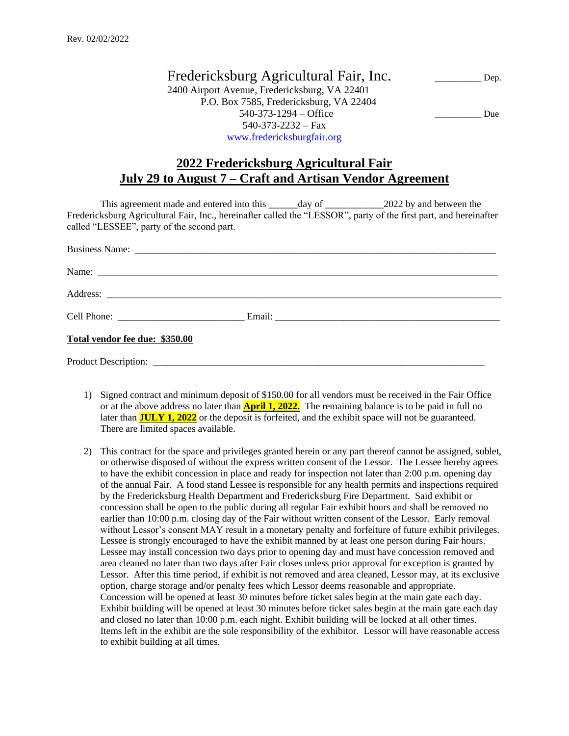Fredericksburg Agricultural Fair, Inc. Dep. 2400 Airport Avenue, Fredericksburg, VA 22401 P.O. Box 7585, Fredericksburg, VA 22404 540-373-1294 – Office Due 540-373-2232 – Fax [www.fredericksburgfair.org](http://www.fredericksburgfair.org/)

## **2022 Fredericksburg Agricultural Fair July 29 to August 7 – Craft and Artisan Vendor Agreement**

This agreement made and entered into this \_\_\_\_\_day of \_\_\_\_\_\_\_\_\_\_\_\_\_2022 by and between the Fredericksburg Agricultural Fair, Inc., hereinafter called the "LESSOR", party of the first part, and hereinafter called "LESSEE", party of the second part.

| Total vendor fee due: \$350.00 |  |  |
|--------------------------------|--|--|
|                                |  |  |

- 1) Signed contract and minimum deposit of \$150.00 for all vendors must be received in the Fair Office or at the above address no later than **April 1, 2022.** The remaining balance is to be paid in full no later than **JULY 1, 2022** or the deposit is forfeited, and the exhibit space will not be guaranteed. There are limited spaces available.
- 2) This contract for the space and privileges granted herein or any part thereof cannot be assigned, sublet, or otherwise disposed of without the express written consent of the Lessor. The Lessee hereby agrees to have the exhibit concession in place and ready for inspection not later than 2:00 p.m. opening day of the annual Fair. A food stand Lessee is responsible for any health permits and inspections required by the Fredericksburg Health Department and Fredericksburg Fire Department. Said exhibit or concession shall be open to the public during all regular Fair exhibit hours and shall be removed no earlier than 10:00 p.m. closing day of the Fair without written consent of the Lessor. Early removal without Lessor's consent MAY result in a monetary penalty and forfeiture of future exhibit privileges. Lessee is strongly encouraged to have the exhibit manned by at least one person during Fair hours. Lessee may install concession two days prior to opening day and must have concession removed and area cleaned no later than two days after Fair closes unless prior approval for exception is granted by Lessor. After this time period, if exhibit is not removed and area cleaned, Lessor may, at its exclusive option, charge storage and/or penalty fees which Lessor deems reasonable and appropriate. Concession will be opened at least 30 minutes before ticket sales begin at the main gate each day. Exhibit building will be opened at least 30 minutes before ticket sales begin at the main gate each day and closed no later than 10:00 p.m. each night. Exhibit building will be locked at all other times. Items left in the exhibit are the sole responsibility of the exhibitor. Lessor will have reasonable access to exhibit building at all times.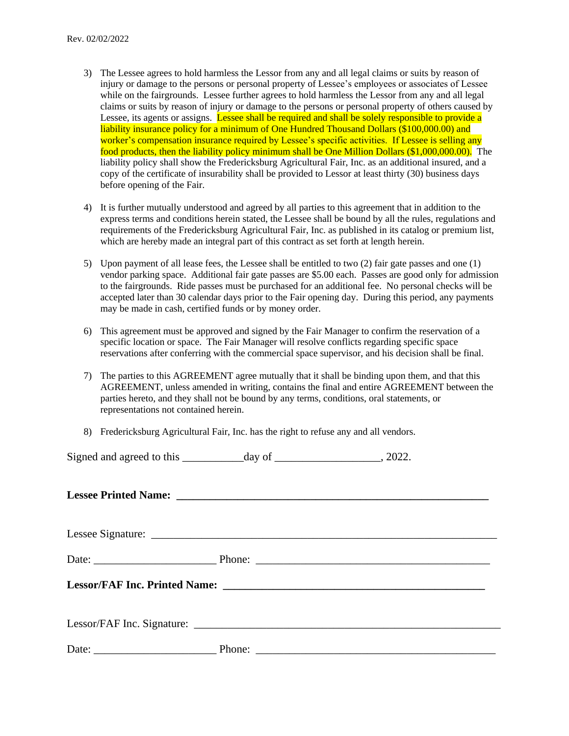- 3) The Lessee agrees to hold harmless the Lessor from any and all legal claims or suits by reason of injury or damage to the persons or personal property of Lessee's employees or associates of Lessee while on the fairgrounds. Lessee further agrees to hold harmless the Lessor from any and all legal claims or suits by reason of injury or damage to the persons or personal property of others caused by Lessee, its agents or assigns. Lessee shall be required and shall be solely responsible to provide a liability insurance policy for a minimum of One Hundred Thousand Dollars (\$100,000.00) and worker's compensation insurance required by Lessee's specific activities. If Lessee is selling any food products, then the liability policy minimum shall be One Million Dollars (\$1,000,000.00). The liability policy shall show the Fredericksburg Agricultural Fair, Inc. as an additional insured, and a copy of the certificate of insurability shall be provided to Lessor at least thirty (30) business days before opening of the Fair.
- 4) It is further mutually understood and agreed by all parties to this agreement that in addition to the express terms and conditions herein stated, the Lessee shall be bound by all the rules, regulations and requirements of the Fredericksburg Agricultural Fair, Inc. as published in its catalog or premium list, which are hereby made an integral part of this contract as set forth at length herein.
- 5) Upon payment of all lease fees, the Lessee shall be entitled to two (2) fair gate passes and one (1) vendor parking space. Additional fair gate passes are \$5.00 each. Passes are good only for admission to the fairgrounds. Ride passes must be purchased for an additional fee. No personal checks will be accepted later than 30 calendar days prior to the Fair opening day. During this period, any payments may be made in cash, certified funds or by money order.
- 6) This agreement must be approved and signed by the Fair Manager to confirm the reservation of a specific location or space. The Fair Manager will resolve conflicts regarding specific space reservations after conferring with the commercial space supervisor, and his decision shall be final.
- 7) The parties to this AGREEMENT agree mutually that it shall be binding upon them, and that this AGREEMENT, unless amended in writing, contains the final and entire AGREEMENT between the parties hereto, and they shall not be bound by any terms, conditions, oral statements, or representations not contained herein.
- 8) Fredericksburg Agricultural Fair, Inc. has the right to refuse any and all vendors.

| Signed and agreed to this | day of | . 2022. |
|---------------------------|--------|---------|
|                           |        |         |

Lessee Printed Name:

Lessee Signature: \_\_\_\_\_\_\_\_\_\_\_\_\_\_\_\_\_\_\_\_\_\_\_\_\_\_\_\_\_\_\_\_\_\_\_\_\_\_\_\_\_\_\_\_\_\_\_\_\_\_\_\_\_\_\_\_\_\_\_\_\_\_

Date: \_\_\_\_\_\_\_\_\_\_\_\_\_\_\_\_\_\_\_\_\_\_ Phone: \_\_\_\_\_\_\_\_\_\_\_\_\_\_\_\_\_\_\_\_\_\_\_\_\_\_\_\_\_\_\_\_\_\_\_\_\_\_\_\_\_\_

**Lessor/FAF Inc. Printed Name: \_\_\_\_\_\_\_\_\_\_\_\_\_\_\_\_\_\_\_\_\_\_\_\_\_\_\_\_\_\_\_\_\_\_\_\_\_\_\_\_\_\_\_\_\_\_\_**

Lessor/FAF Inc. Signature: \_\_\_\_\_\_\_\_\_\_\_\_\_\_\_\_\_\_\_\_\_\_\_\_\_\_\_\_\_\_\_\_\_\_\_\_\_\_\_\_\_\_\_\_\_\_\_\_\_\_\_\_\_\_\_

Date: \_\_\_\_\_\_\_\_\_\_\_\_\_\_\_\_\_\_\_\_\_\_ Phone: \_\_\_\_\_\_\_\_\_\_\_\_\_\_\_\_\_\_\_\_\_\_\_\_\_\_\_\_\_\_\_\_\_\_\_\_\_\_\_\_\_\_\_